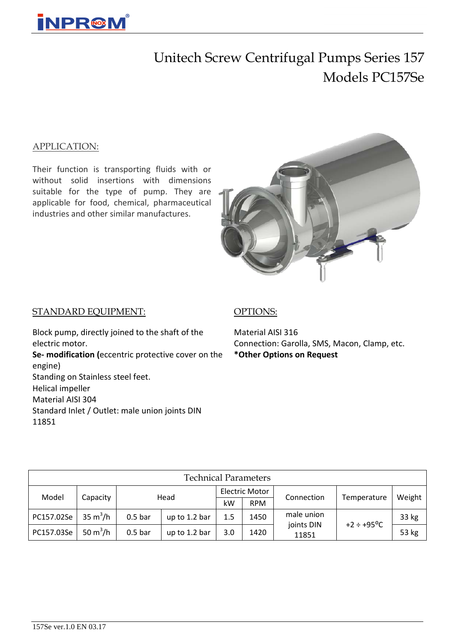

## Unitech Screw Centrifugal Pumps Series 157 Models PC157Se

#### APPLICATION:

Their function is transporting fluids with or without solid insertions with dimensions suitable for the type of pump. They are applicable for food, chemical, pharmaceutical industries and other similar manufactures.

#### STANDARD EQUIPMENT:

Block pump, directly joined to the shaft of the electric motor. **Sе- modification (**eccentric protective cover on the engine) Standing on Stainless steel feet. Helical impeller Material AISI 304 Standard Inlet / Outlet: male union joints DIN 11851

#### OPTIONS:

Material AISI 316 Connection: Garolla, SMS, Macon, Clamp, etc. **\*Other Options on Request**

| <b>Technical Parameters</b> |                      |                    |               |                       |            |                     |                        |        |  |  |  |
|-----------------------------|----------------------|--------------------|---------------|-----------------------|------------|---------------------|------------------------|--------|--|--|--|
| Model                       | Capacity             | Head               |               | <b>Electric Motor</b> |            | Connection          | Temperature            | Weight |  |  |  |
|                             |                      |                    |               | kW                    | <b>RPM</b> |                     |                        |        |  |  |  |
| PC157.02Se                  | 35 m <sup>3</sup> /h | $0.5b$ ar          | up to 1.2 bar | 1.5                   | 1450       | male union          | $+2 \div +95^{\circ}C$ | 33 kg  |  |  |  |
| PC157.03Se                  | 50 $m^3/h$           | 0.5 <sub>bar</sub> | up to 1.2 bar | 3.0                   | 1420       | joints DIN<br>11851 |                        | 53 kg  |  |  |  |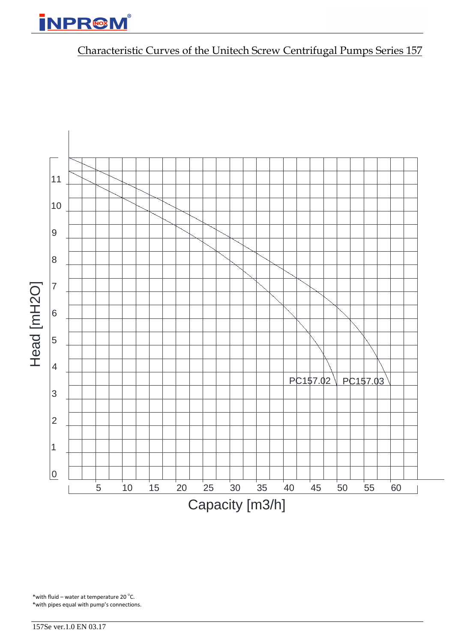# **INPR®M**

### Characteristic Curves of the Unitech Screw Centrifugal Pumps Series 157



\* with fluid – water at temperature 20 $\degree$ C. \*with pipes equal with pump's connections.